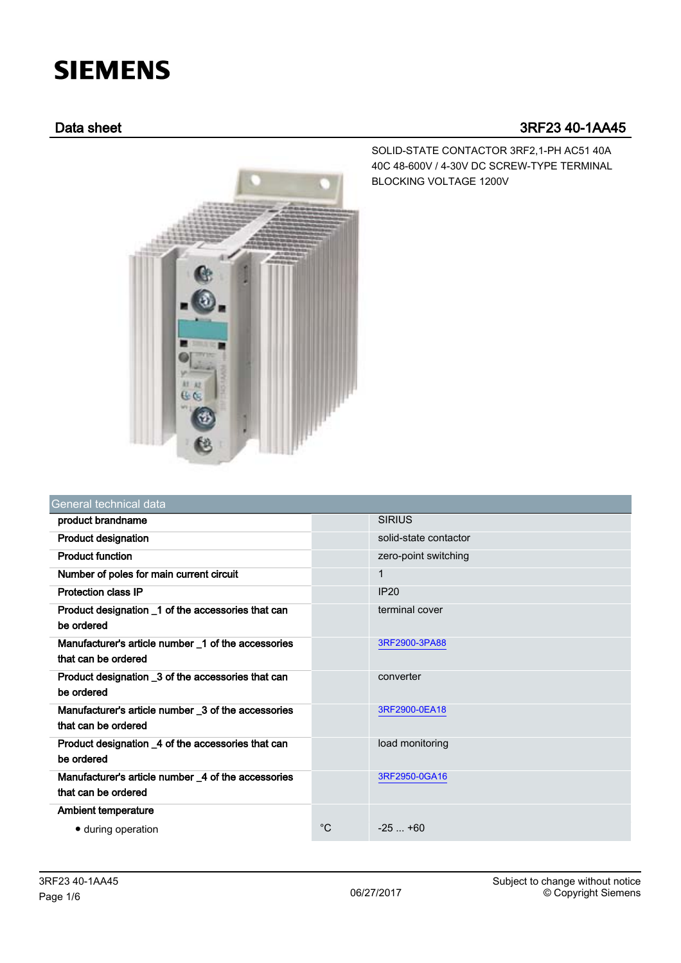# **SIEMENS**

## Data sheet 3RF23 40-1AA45



SOLID-STATE CONTACTOR 3RF2,1-PH AC51 40A 40C 48-600V / 4-30V DC SCREW-TYPE TERMINAL BLOCKING VOLTAGE 1200V

| General technical data                                                     |             |                       |
|----------------------------------------------------------------------------|-------------|-----------------------|
| product brandname                                                          |             | <b>SIRIUS</b>         |
| <b>Product designation</b>                                                 |             | solid-state contactor |
| <b>Product function</b>                                                    |             | zero-point switching  |
| Number of poles for main current circuit                                   |             | $\mathbf{1}$          |
| <b>Protection class IP</b>                                                 |             | IP20                  |
| Product designation _1 of the accessories that can<br>be ordered           |             | terminal cover        |
| Manufacturer's article number 1 of the accessories<br>that can be ordered  |             | 3RF2900-3PA88         |
| Product designation _3 of the accessories that can<br>be ordered           |             | converter             |
| Manufacturer's article number _3 of the accessories<br>that can be ordered |             | 3RF2900-0EA18         |
| Product designation _4 of the accessories that can<br>be ordered           |             | load monitoring       |
| Manufacturer's article number _4 of the accessories<br>that can be ordered |             | 3RF2950-0GA16         |
| <b>Ambient temperature</b>                                                 |             |                       |
| • during operation                                                         | $^{\circ}C$ | $-25 - +60$           |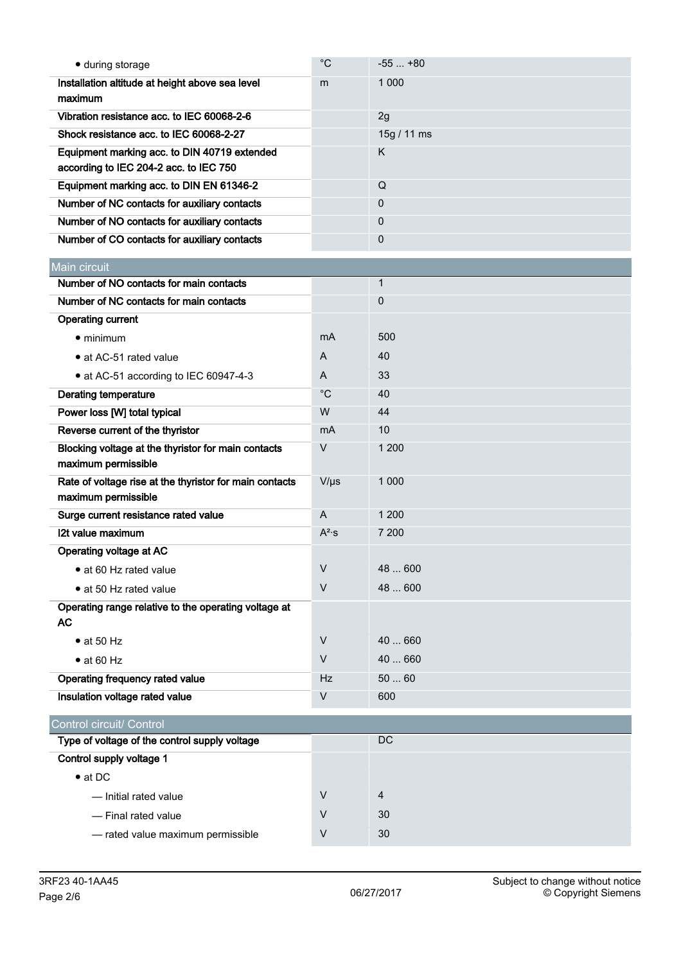| • during storage                                                               | $^{\circ}$ C | $-55+80$       |
|--------------------------------------------------------------------------------|--------------|----------------|
| Installation altitude at height above sea level                                | m            | 1 0 0 0        |
| maximum                                                                        |              |                |
| Vibration resistance acc. to IEC 60068-2-6                                     |              | 2g             |
| Shock resistance acc. to IEC 60068-2-27                                        |              | 15g / 11 ms    |
| Equipment marking acc. to DIN 40719 extended                                   |              | K              |
| according to IEC 204-2 acc. to IEC 750                                         |              |                |
| Equipment marking acc. to DIN EN 61346-2                                       |              | Q              |
| Number of NC contacts for auxiliary contacts                                   |              | 0              |
| Number of NO contacts for auxiliary contacts                                   |              | $\mathbf 0$    |
| Number of CO contacts for auxiliary contacts                                   |              | $\mathbf 0$    |
| Main circuit                                                                   |              |                |
| Number of NO contacts for main contacts                                        |              | $\mathbf 1$    |
| Number of NC contacts for main contacts                                        |              | $\mathbf 0$    |
| <b>Operating current</b>                                                       |              |                |
| $\bullet$ minimum                                                              | mA           | 500            |
| • at AC-51 rated value                                                         | A            | 40             |
| • at AC-51 according to IEC 60947-4-3                                          | A            | 33             |
| <b>Derating temperature</b>                                                    | $^{\circ}C$  | 40             |
| Power loss [W] total typical                                                   | W            | 44             |
| Reverse current of the thyristor                                               | mA           | 10             |
| Blocking voltage at the thyristor for main contacts                            | $\vee$       | 1 200          |
| maximum permissible                                                            |              |                |
| Rate of voltage rise at the thyristor for main contacts<br>maximum permissible | $V/\mu s$    | 1 0 0 0        |
| Surge current resistance rated value                                           | A            | 1 200          |
| 12t value maximum                                                              | $A^2$ ·s     | 7 200          |
| <b>Operating voltage at AC</b>                                                 |              |                |
| · at 60 Hz rated value                                                         | $\vee$       | 48  600        |
| • at 50 Hz rated value                                                         | $\vee$       | 48  600        |
| Operating range relative to the operating voltage at                           |              |                |
| <b>AC</b>                                                                      |              |                |
| $\bullet$ at 50 Hz                                                             | $\vee$       | 40  660        |
| $\bullet$ at 60 Hz                                                             | $\vee$       | 40  660        |
| Operating frequency rated value                                                | <b>Hz</b>    | 5060           |
| Insulation voltage rated value                                                 | V            | 600            |
|                                                                                |              |                |
| Control circuit/ Control                                                       |              | DC             |
| Type of voltage of the control supply voltage<br>Control supply voltage 1      |              |                |
| $\bullet$ at DC                                                                |              |                |
|                                                                                | $\vee$       | $\overline{4}$ |
| - Initial rated value                                                          | V            | 30             |
| - Final rated value                                                            |              |                |
| - rated value maximum permissible                                              | $\vee$       | 30             |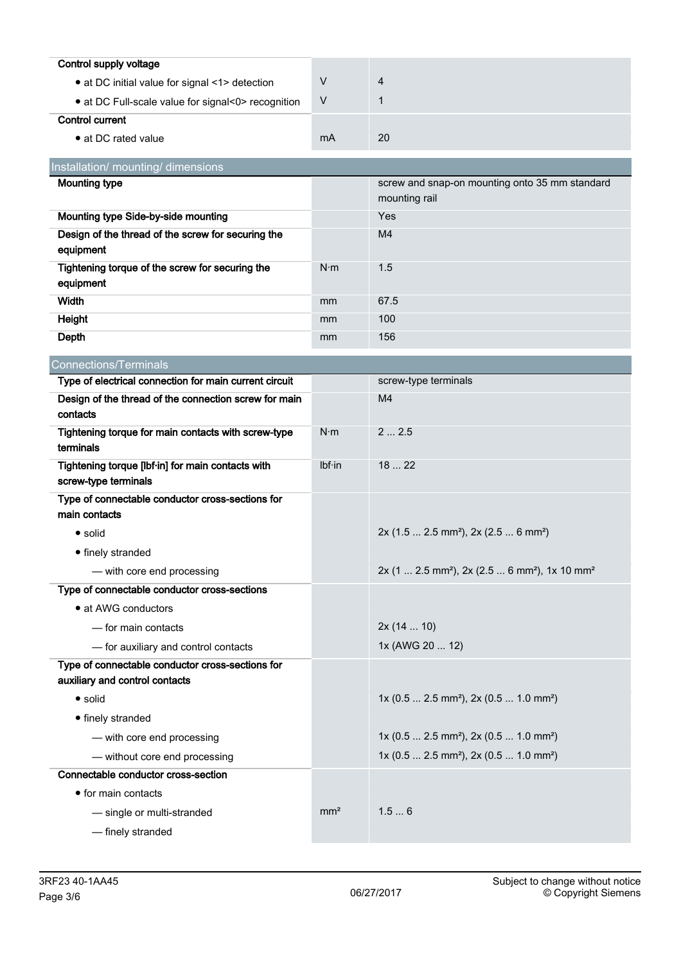| Control supply voltage                             |    |    |
|----------------------------------------------------|----|----|
| • at DC initial value for signal <1> detection     |    | 4  |
| • at DC Full-scale value for signal<0> recognition | v  |    |
| Control current                                    |    |    |
| • at DC rated value                                | mA | 20 |

| Installation/ mounting/ dimensions                              |             |                                                                 |
|-----------------------------------------------------------------|-------------|-----------------------------------------------------------------|
| <b>Mounting type</b>                                            |             | screw and snap-on mounting onto 35 mm standard<br>mounting rail |
| Mounting type Side-by-side mounting                             |             | Yes                                                             |
| Design of the thread of the screw for securing the<br>equipment |             | M <sub>4</sub>                                                  |
| Tightening torque of the screw for securing the<br>equipment    | $N \cdot m$ | $1.5^{\circ}$                                                   |
| Width                                                           | mm          | 67.5                                                            |
| Height                                                          | mm          | 100                                                             |
| Depth                                                           | mm          | 156                                                             |

| <b>Connections/Terminals</b>                                                       |                 |                                                                                   |
|------------------------------------------------------------------------------------|-----------------|-----------------------------------------------------------------------------------|
| Type of electrical connection for main current circuit                             |                 | screw-type terminals                                                              |
| Design of the thread of the connection screw for main<br>contacts                  |                 | M <sub>4</sub>                                                                    |
| Tightening torque for main contacts with screw-type<br>terminals                   | $N \cdot m$     | 22.5                                                                              |
| Tightening torque [lbf·in] for main contacts with<br>screw-type terminals          | Ibf·in          | 1822                                                                              |
| Type of connectable conductor cross-sections for<br>main contacts                  |                 |                                                                                   |
| $\bullet$ solid                                                                    |                 | $2x$ (1.5  2.5 mm <sup>2</sup> ), $2x$ (2.5  6 mm <sup>2</sup> )                  |
| • finely stranded                                                                  |                 |                                                                                   |
| - with core end processing                                                         |                 | 2x (1  2.5 mm <sup>2</sup> ), 2x (2.5  6 mm <sup>2</sup> ), 1x 10 mm <sup>2</sup> |
| Type of connectable conductor cross-sections                                       |                 |                                                                                   |
| • at AWG conductors                                                                |                 |                                                                                   |
| - for main contacts                                                                |                 | 2x(1410)                                                                          |
| - for auxiliary and control contacts                                               |                 | 1x (AWG 20  12)                                                                   |
| Type of connectable conductor cross-sections for<br>auxiliary and control contacts |                 |                                                                                   |
| $\bullet$ solid                                                                    |                 | $1x (0.5  2.5 mm2)$ , $2x (0.5  1.0 mm2)$                                         |
| • finely stranded                                                                  |                 |                                                                                   |
| - with core end processing                                                         |                 | $1x$ (0.5  2.5 mm <sup>2</sup> ), 2x (0.5  1.0 mm <sup>2</sup> )                  |
| - without core end processing                                                      |                 | $1x$ (0.5  2.5 mm <sup>2</sup> ), 2x (0.5  1.0 mm <sup>2</sup> )                  |
| Connectable conductor cross-section                                                |                 |                                                                                   |
| • for main contacts                                                                |                 |                                                                                   |
| - single or multi-stranded                                                         | mm <sup>2</sup> | 1.56                                                                              |
| - finely stranded                                                                  |                 |                                                                                   |
|                                                                                    |                 |                                                                                   |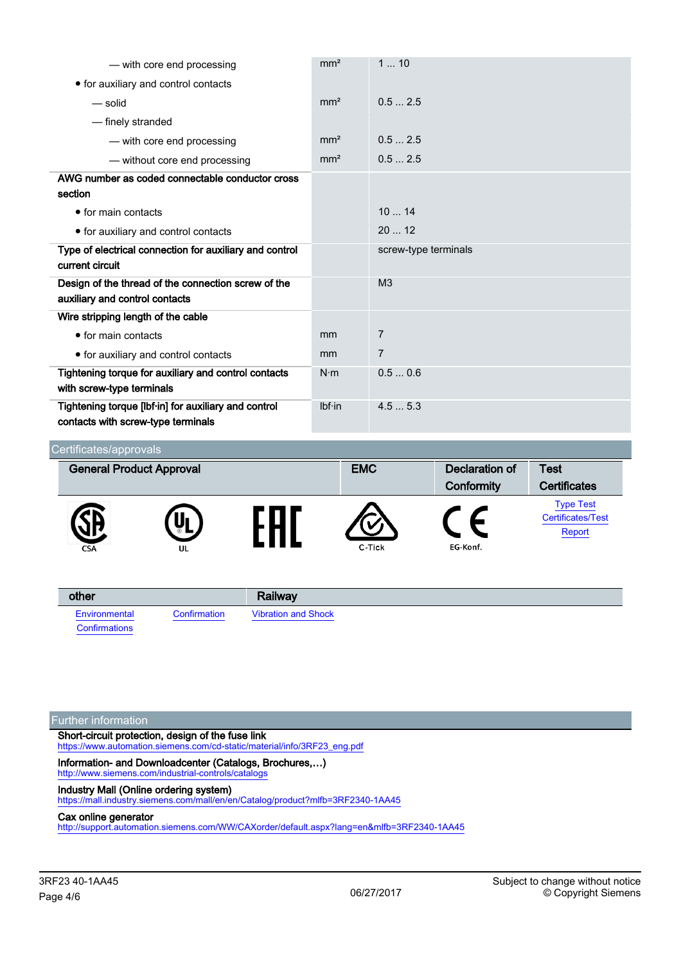| - with core end processing                                                                 | mm <sup>2</sup> | 110                  |
|--------------------------------------------------------------------------------------------|-----------------|----------------------|
| • for auxiliary and control contacts                                                       |                 |                      |
| — solid                                                                                    | mm <sup>2</sup> | 0.52.5               |
| - finely stranded                                                                          |                 |                      |
| - with core end processing                                                                 | mm <sup>2</sup> | 0.52.5               |
| - without core end processing                                                              | mm <sup>2</sup> | 0.52.5               |
| AWG number as coded connectable conductor cross                                            |                 |                      |
| section                                                                                    |                 |                      |
| $\bullet$ for main contacts                                                                |                 | 1014                 |
| • for auxiliary and control contacts                                                       |                 | 2012                 |
| Type of electrical connection for auxiliary and control                                    |                 | screw-type terminals |
| current circuit                                                                            |                 |                      |
| Design of the thread of the connection screw of the                                        |                 | M <sub>3</sub>       |
| auxiliary and control contacts                                                             |                 |                      |
| Wire stripping length of the cable                                                         |                 |                      |
| $\bullet$ for main contacts                                                                | mm              | 7                    |
| • for auxiliary and control contacts                                                       | mm              | $\overline{7}$       |
| Tightening torque for auxiliary and control contacts                                       | $N \cdot m$     | 0.50.6               |
| with screw-type terminals                                                                  |                 |                      |
| Tightening torque [lbf·in] for auxiliary and control<br>contacts with screw-type terminals | Ibf·in          | 4.55.3               |

#### Certificates/approvals General Product Approval **EMC** Declaration of **Test Conformity Certificates** [Type Test](https://support.industry.siemens.com/cs/WW/en/ps/3RF23%2040-1AA45/Certificate?ct=445&ci=496&cao=553) EAC [Certificates/Test](https://support.industry.siemens.com/cs/WW/en/ps/3RF23%2040-1AA45/Certificate?ct=445&ci=496&cao=553) [Report](https://support.industry.siemens.com/cs/WW/en/ps/3RF23%2040-1AA45/Certificate?ct=445&ci=496&cao=553) EG-Konf.

| other         |              | Railway                    |
|---------------|--------------|----------------------------|
| Environmental | Confirmation | <b>Vibration and Shock</b> |
| Confirmations |              |                            |

#### Further information

Short-circuit protection, design of the fuse link [https://www.automation.siemens.com/cd-static/material/info/3RF23\\_eng.pdf](https://www.automation.siemens.com/cd-static/material/info/3RF23_eng.pdf)

Information- and Downloadcenter (Catalogs, Brochures,…) <http://www.siemens.com/industrial-controls/catalogs>

# Industry Mall (Online ordering system)

<https://mall.industry.siemens.com/mall/en/en/Catalog/product?mlfb=3RF2340-1AA45>

#### Cax online generator

<http://support.automation.siemens.com/WW/CAXorder/default.aspx?lang=en&mlfb=3RF2340-1AA45>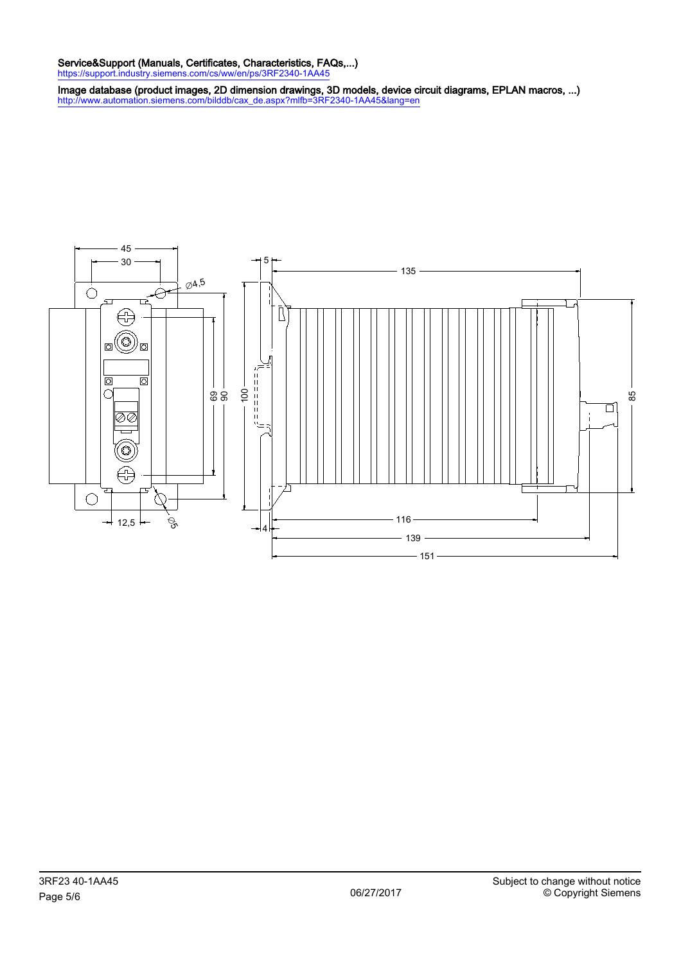### Service&Support (Manuals, Certificates, Characteristics, FAQs,...)

<https://support.industry.siemens.com/cs/ww/en/ps/3RF2340-1AA45>

Image database (product images, 2D dimension drawings, 3D models, device circuit diagrams, EPLAN macros, ...) [http://www.automation.siemens.com/bilddb/cax\\_de.aspx?mlfb=3RF2340-1AA45&lang=en](http://www.automation.siemens.com/bilddb/cax_de.aspx?mlfb=3RF2340-1AA45&lang=en)